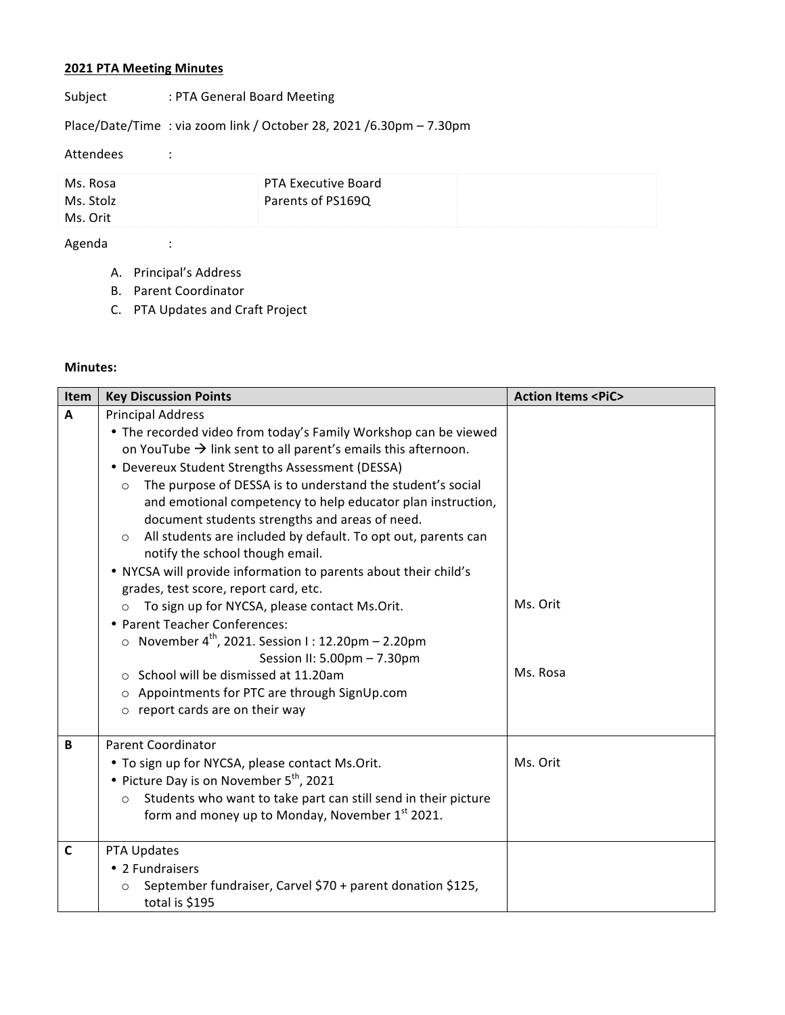## **2021 PTA Meeting Minutes**

Subject : PTA General Board Meeting

Place/Date/Time : via zoom link / October 28, 2021 /6.30pm – 7.30pm

## Attendees :

| Ms. Rosa  | PTA Executive Board |  |
|-----------|---------------------|--|
| Ms. Stolz | Parents of PS169Q   |  |
| Ms. Orit  |                     |  |

## Agenda :

- A. Principal's Address
- B. Parent Coordinator
- C. PTA Updates and Craft Project

## **Minutes:**

| Item           | <b>Key Discussion Points</b>                                                                                                                                                                                                                                                                                                                                                                                                                                                                                                                                                                            | <b>Action Items <pic></pic></b> |
|----------------|---------------------------------------------------------------------------------------------------------------------------------------------------------------------------------------------------------------------------------------------------------------------------------------------------------------------------------------------------------------------------------------------------------------------------------------------------------------------------------------------------------------------------------------------------------------------------------------------------------|---------------------------------|
| $\overline{A}$ | <b>Principal Address</b><br>• The recorded video from today's Family Workshop can be viewed<br>on YouTube $\rightarrow$ link sent to all parent's emails this afternoon.<br>• Devereux Student Strengths Assessment (DESSA)<br>The purpose of DESSA is to understand the student's social<br>$\circ$<br>and emotional competency to help educator plan instruction,<br>document students strengths and areas of need.<br>All students are included by default. To opt out, parents can<br>$\circ$<br>notify the school though email.<br>. NYCSA will provide information to parents about their child's |                                 |
|                | grades, test score, report card, etc.<br>To sign up for NYCSA, please contact Ms.Orit.<br>$\Omega$<br>• Parent Teacher Conferences:<br>o November $4^{\text{th}}$ , 2021. Session I: 12.20pm - 2.20pm<br>Session II: 5.00pm - 7.30pm<br>School will be dismissed at 11.20am<br>$\circ$<br>Appointments for PTC are through SignUp.com<br>$\circ$<br>$\circ$ report cards are on their way                                                                                                                                                                                                               | Ms. Orit<br>Ms. Rosa            |
| B              | <b>Parent Coordinator</b><br>• To sign up for NYCSA, please contact Ms.Orit.<br>• Picture Day is on November 5 <sup>th</sup> , 2021<br>Students who want to take part can still send in their picture<br>$\circ$<br>form and money up to Monday, November 1st 2021.                                                                                                                                                                                                                                                                                                                                     | Ms. Orit                        |
| $\mathsf{C}$   | PTA Updates<br>• 2 Fundraisers<br>September fundraiser, Carvel \$70 + parent donation \$125,<br>$\circ$<br>total is \$195                                                                                                                                                                                                                                                                                                                                                                                                                                                                               |                                 |